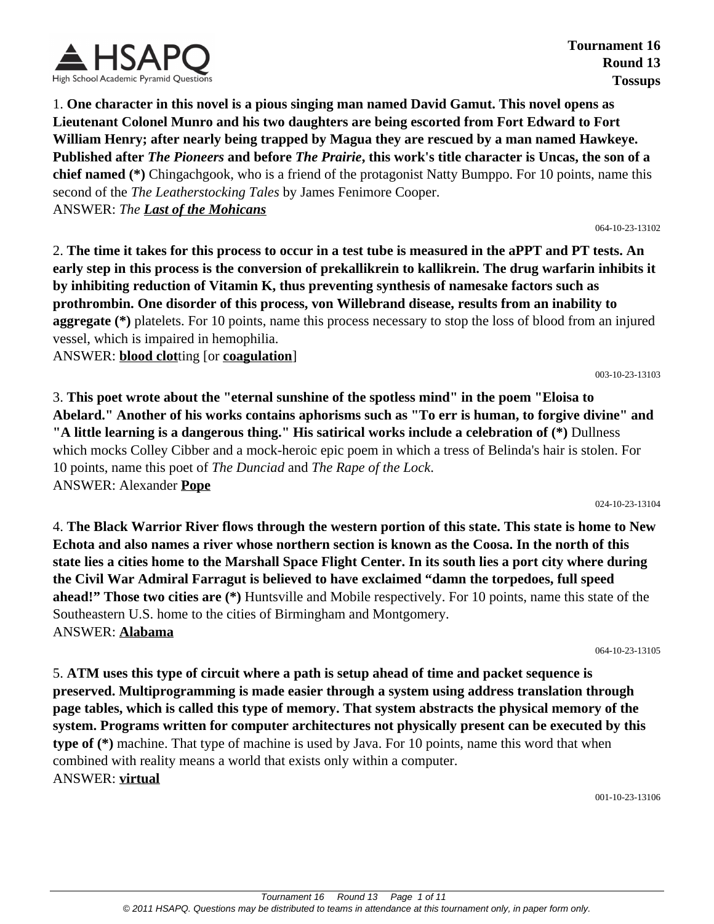

**Tournament 16 Round 13 Tossups**

1. **One character in this novel is a pious singing man named David Gamut. This novel opens as Lieutenant Colonel Munro and his two daughters are being escorted from Fort Edward to Fort William Henry; after nearly being trapped by Magua they are rescued by a man named Hawkeye. Published after** *The Pioneers* **and before** *The Prairie***, this work's title character is Uncas, the son of a chief named (\*)** Chingachgook, who is a friend of the protagonist Natty Bumppo. For 10 points, name this second of the *The Leatherstocking Tales* by James Fenimore Cooper. ANSWER: *The Last of the Mohicans*

064-10-23-13102

2. **The time it takes for this process to occur in a test tube is measured in the aPPT and PT tests. An early step in this process is the conversion of prekallikrein to kallikrein. The drug warfarin inhibits it by inhibiting reduction of Vitamin K, thus preventing synthesis of namesake factors such as prothrombin. One disorder of this process, von Willebrand disease, results from an inability to aggregate (\*)** platelets. For 10 points, name this process necessary to stop the loss of blood from an injured vessel, which is impaired in hemophilia.

ANSWER: **blood clot**ting [or **coagulation**]

3. **This poet wrote about the "eternal sunshine of the spotless mind" in the poem "Eloisa to Abelard." Another of his works contains aphorisms such as "To err is human, to forgive divine" and "A little learning is a dangerous thing." His satirical works include a celebration of (\*)** Dullness which mocks Colley Cibber and a mock-heroic epic poem in which a tress of Belinda's hair is stolen. For 10 points, name this poet of *The Dunciad* and *The Rape of the Lock*. ANSWER: Alexander **Pope**

024-10-23-13104

003-10-23-13103

4. **The Black Warrior River flows through the western portion of this state. This state is home to New Echota and also names a river whose northern section is known as the Coosa. In the north of this state lies a cities home to the Marshall Space Flight Center. In its south lies a port city where during the Civil War Admiral Farragut is believed to have exclaimed "damn the torpedoes, full speed ahead!" Those two cities are (\*)** Huntsville and Mobile respectively. For 10 points, name this state of the Southeastern U.S. home to the cities of Birmingham and Montgomery. ANSWER: **Alabama**

064-10-23-13105

5. **ATM uses this type of circuit where a path is setup ahead of time and packet sequence is preserved. Multiprogramming is made easier through a system using address translation through page tables, which is called this type of memory. That system abstracts the physical memory of the system. Programs written for computer architectures not physically present can be executed by this type of (\*)** machine. That type of machine is used by Java. For 10 points, name this word that when combined with reality means a world that exists only within a computer. ANSWER: **virtual**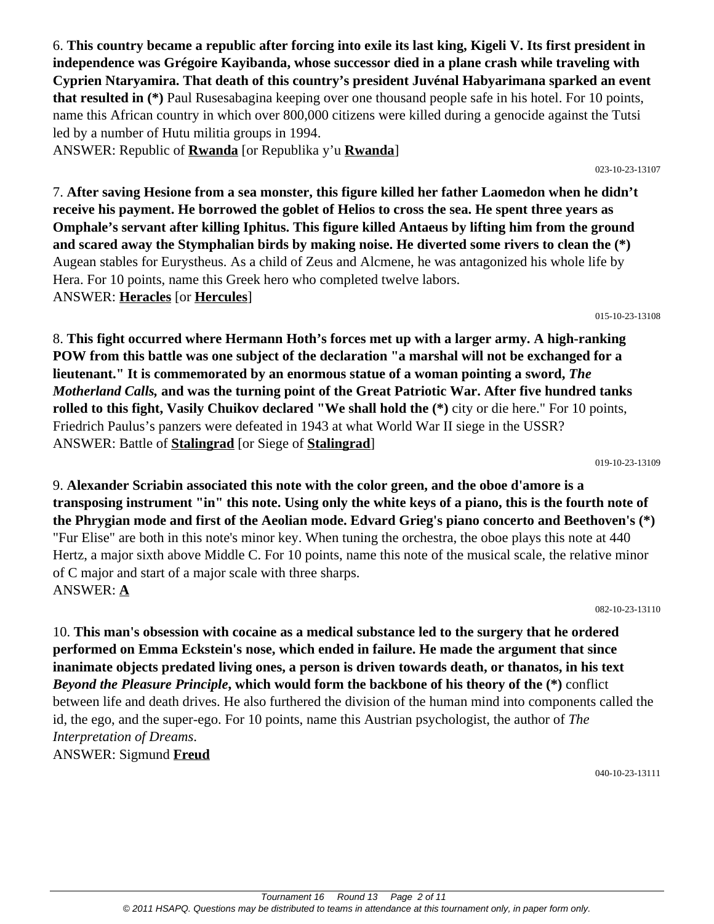6. **This country became a republic after forcing into exile its last king, Kigeli V. Its first president in independence was Grégoire Kayibanda, whose successor died in a plane crash while traveling with Cyprien Ntaryamira. That death of this country's president Juvénal Habyarimana sparked an event that resulted in (\*)** Paul Rusesabagina keeping over one thousand people safe in his hotel. For 10 points, name this African country in which over 800,000 citizens were killed during a genocide against the Tutsi led by a number of Hutu militia groups in 1994.

ANSWER: Republic of **Rwanda** [or Republika y'u **Rwanda**]

7. **After saving Hesione from a sea monster, this figure killed her father Laomedon when he didn't receive his payment. He borrowed the goblet of Helios to cross the sea. He spent three years as Omphale's servant after killing Iphitus. This figure killed Antaeus by lifting him from the ground and scared away the Stymphalian birds by making noise. He diverted some rivers to clean the (\*)** Augean stables for Eurystheus. As a child of Zeus and Alcmene, he was antagonized his whole life by Hera. For 10 points, name this Greek hero who completed twelve labors. ANSWER: **Heracles** [or **Hercules**]

015-10-23-13108

023-10-23-13107

8. **This fight occurred where Hermann Hoth's forces met up with a larger army. A high-ranking POW from this battle was one subject of the declaration "a marshal will not be exchanged for a lieutenant." It is commemorated by an enormous statue of a woman pointing a sword,** *The Motherland Calls,* **and was the turning point of the Great Patriotic War. After five hundred tanks rolled to this fight, Vasily Chuikov declared "We shall hold the (\*)** city or die here." For 10 points, Friedrich Paulus's panzers were defeated in 1943 at what World War II siege in the USSR? ANSWER: Battle of **Stalingrad** [or Siege of **Stalingrad**]

019-10-23-13109

9. **Alexander Scriabin associated this note with the color green, and the oboe d'amore is a transposing instrument "in" this note. Using only the white keys of a piano, this is the fourth note of the Phrygian mode and first of the Aeolian mode. Edvard Grieg's piano concerto and Beethoven's (\*)** "Fur Elise" are both in this note's minor key. When tuning the orchestra, the oboe plays this note at 440 Hertz, a major sixth above Middle C. For 10 points, name this note of the musical scale, the relative minor of C major and start of a major scale with three sharps. ANSWER: **A**

082-10-23-13110

10. **This man's obsession with cocaine as a medical substance led to the surgery that he ordered performed on Emma Eckstein's nose, which ended in failure. He made the argument that since inanimate objects predated living ones, a person is driven towards death, or thanatos, in his text**  *Beyond the Pleasure Principle***, which would form the backbone of his theory of the (\*)** conflict between life and death drives. He also furthered the division of the human mind into components called the id, the ego, and the super-ego. For 10 points, name this Austrian psychologist, the author of *The Interpretation of Dreams*. ANSWER: Sigmund **Freud**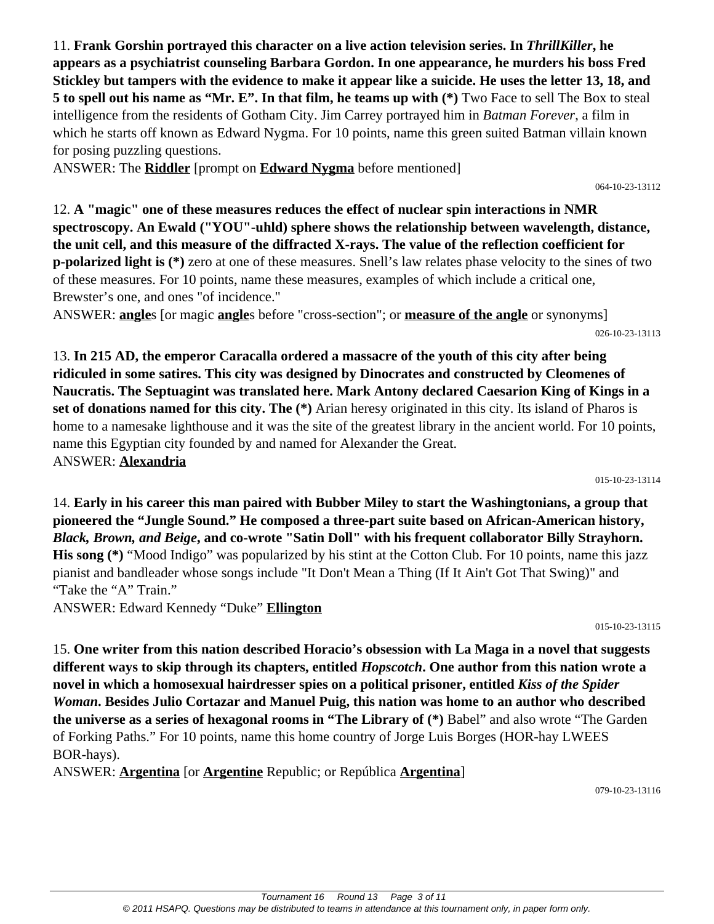**appears as a psychiatrist counseling Barbara Gordon. In one appearance, he murders his boss Fred Stickley but tampers with the evidence to make it appear like a suicide. He uses the letter 13, 18, and 5 to spell out his name as "Mr. E". In that film, he teams up with (\*)** Two Face to sell The Box to steal intelligence from the residents of Gotham City. Jim Carrey portrayed him in *Batman Forever*, a film in which he starts off known as Edward Nygma. For 10 points, name this green suited Batman villain known for posing puzzling questions. ANSWER: The **Riddler** [prompt on **Edward Nygma** before mentioned]

11. **Frank Gorshin portrayed this character on a live action television series. In** *ThrillKiller***, he**

064-10-23-13112

12. **A "magic" one of these measures reduces the effect of nuclear spin interactions in NMR spectroscopy. An Ewald ("YOU"-uhld) sphere shows the relationship between wavelength, distance, the unit cell, and this measure of the diffracted X-rays. The value of the reflection coefficient for p-polarized light is (\*)** zero at one of these measures. Snell's law relates phase velocity to the sines of two of these measures. For 10 points, name these measures, examples of which include a critical one, Brewster's one, and ones "of incidence."

ANSWER: **angle**s [or magic **angle**s before "cross-section"; or **measure of the angle** or synonyms] 026-10-23-13113

13. **In 215 AD, the emperor Caracalla ordered a massacre of the youth of this city after being ridiculed in some satires. This city was designed by Dinocrates and constructed by Cleomenes of Naucratis. The Septuagint was translated here. Mark Antony declared Caesarion King of Kings in a set of donations named for this city. The (\*)** Arian heresy originated in this city. Its island of Pharos is home to a namesake lighthouse and it was the site of the greatest library in the ancient world. For 10 points, name this Egyptian city founded by and named for Alexander the Great. ANSWER: **Alexandria**

015-10-23-13114

14. **Early in his career this man paired with Bubber Miley to start the Washingtonians, a group that pioneered the "Jungle Sound." He composed a three-part suite based on African-American history,**  *Black, Brown, and Beige***, and co-wrote "Satin Doll" with his frequent collaborator Billy Strayhorn. His song** (\*) "Mood Indigo" was popularized by his stint at the Cotton Club. For 10 points, name this jazz pianist and bandleader whose songs include "It Don't Mean a Thing (If It Ain't Got That Swing)" and "Take the "A" Train."

ANSWER: Edward Kennedy "Duke" **Ellington**

015-10-23-13115

15. **One writer from this nation described Horacio's obsession with La Maga in a novel that suggests different ways to skip through its chapters, entitled** *Hopscotch***. One author from this nation wrote a novel in which a homosexual hairdresser spies on a political prisoner, entitled** *Kiss of the Spider Woman***. Besides Julio Cortazar and Manuel Puig, this nation was home to an author who described the universe as a series of hexagonal rooms in "The Library of (\*)** Babel" and also wrote "The Garden of Forking Paths." For 10 points, name this home country of Jorge Luis Borges (HOR-hay LWEES BOR-hays).

ANSWER: **Argentina** [or **Argentine** Republic; or República **Argentina**]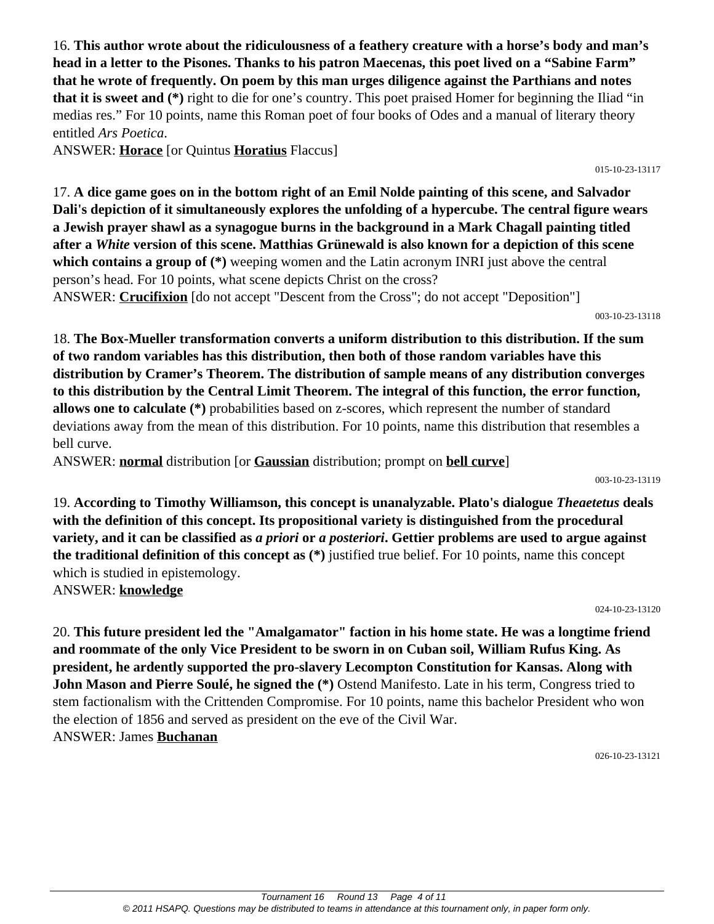16. **This author wrote about the ridiculousness of a feathery creature with a horse's body and man's head in a letter to the Pisones. Thanks to his patron Maecenas, this poet lived on a "Sabine Farm" that he wrote of frequently. On poem by this man urges diligence against the Parthians and notes that it is sweet and (\*)** right to die for one's country. This poet praised Homer for beginning the Iliad "in medias res." For 10 points, name this Roman poet of four books of Odes and a manual of literary theory entitled *Ars Poetica*.

ANSWER: **Horace** [or Quintus **Horatius** Flaccus]

17. **A dice game goes on in the bottom right of an Emil Nolde painting of this scene, and Salvador Dali's depiction of it simultaneously explores the unfolding of a hypercube. The central figure wears a Jewish prayer shawl as a synagogue burns in the background in a Mark Chagall painting titled after a** *White* **version of this scene. Matthias Grünewald is also known for a depiction of this scene which contains a group of (\*)** weeping women and the Latin acronym INRI just above the central person's head. For 10 points, what scene depicts Christ on the cross? ANSWER: **Crucifixion** [do not accept "Descent from the Cross"; do not accept "Deposition"]

003-10-23-13118

18. **The Box-Mueller transformation converts a uniform distribution to this distribution. If the sum of two random variables has this distribution, then both of those random variables have this distribution by Cramer's Theorem. The distribution of sample means of any distribution converges to this distribution by the Central Limit Theorem. The integral of this function, the error function, allows one to calculate (\*)** probabilities based on z-scores, which represent the number of standard deviations away from the mean of this distribution. For 10 points, name this distribution that resembles a bell curve.

ANSWER: **normal** distribution [or **Gaussian** distribution; prompt on **bell curve**]

003-10-23-13119

19. **According to Timothy Williamson, this concept is unanalyzable. Plato's dialogue** *Theaetetus* **deals with the definition of this concept. Its propositional variety is distinguished from the procedural variety, and it can be classified as** *a priori* **or** *a posteriori***. Gettier problems are used to argue against the traditional definition of this concept as (\*)** justified true belief. For 10 points, name this concept which is studied in epistemology. ANSWER: **knowledge**

024-10-23-13120

20. **This future president led the "Amalgamator" faction in his home state. He was a longtime friend and roommate of the only Vice President to be sworn in on Cuban soil, William Rufus King. As president, he ardently supported the pro-slavery Lecompton Constitution for Kansas. Along with John Mason and Pierre Soulé, he signed the (\*)** Ostend Manifesto. Late in his term, Congress tried to stem factionalism with the Crittenden Compromise. For 10 points, name this bachelor President who won the election of 1856 and served as president on the eve of the Civil War. ANSWER: James **Buchanan**

026-10-23-13121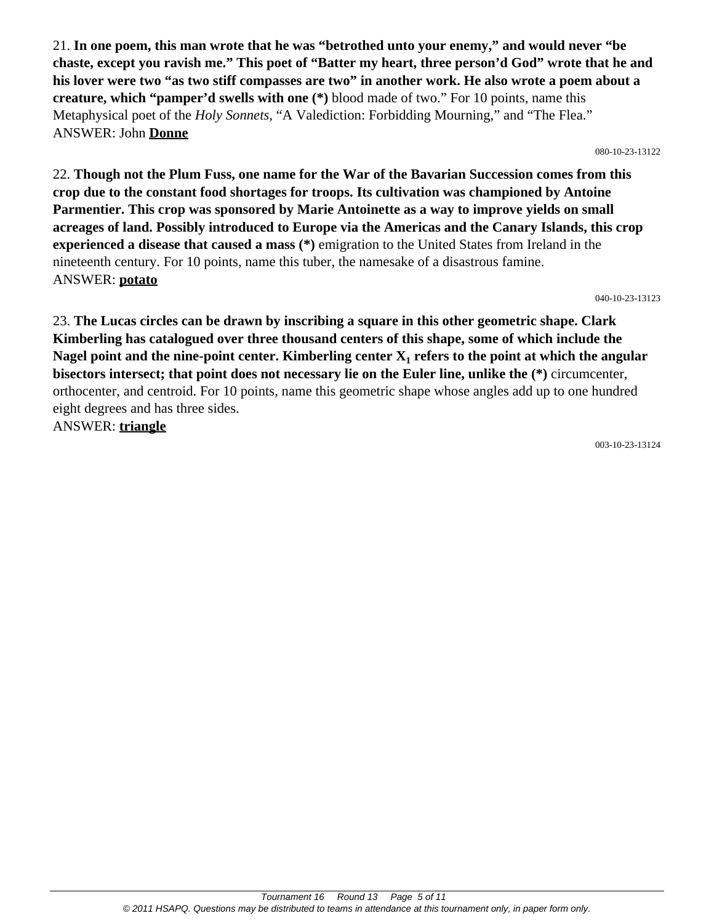21. **In one poem, this man wrote that he was "betrothed unto your enemy," and would never "be chaste, except you ravish me." This poet of "Batter my heart, three person'd God" wrote that he and his lover were two "as two stiff compasses are two" in another work. He also wrote a poem about a creature, which "pamper'd swells with one (\*)** blood made of two." For 10 points, name this Metaphysical poet of the *Holy Sonnets*, "A Valediction: Forbidding Mourning," and "The Flea." ANSWER: John **Donne**

080-10-23-13122

22. **Though not the Plum Fuss, one name for the War of the Bavarian Succession comes from this crop due to the constant food shortages for troops. Its cultivation was championed by Antoine Parmentier. This crop was sponsored by Marie Antoinette as a way to improve yields on small acreages of land. Possibly introduced to Europe via the Americas and the Canary Islands, this crop experienced a disease that caused a mass (\*)** emigration to the United States from Ireland in the nineteenth century. For 10 points, name this tuber, the namesake of a disastrous famine. ANSWER: **potato**

040-10-23-13123

23. **The Lucas circles can be drawn by inscribing a square in this other geometric shape. Clark Kimberling has catalogued over three thousand centers of this shape, some of which include the Nagel point and the nine-point center. Kimberling center X<sup>1</sup> refers to the point at which the angular bisectors intersect; that point does not necessary lie on the Euler line, unlike the (\*)** circumcenter, orthocenter, and centroid. For 10 points, name this geometric shape whose angles add up to one hundred eight degrees and has three sides. ANSWER: **triangle**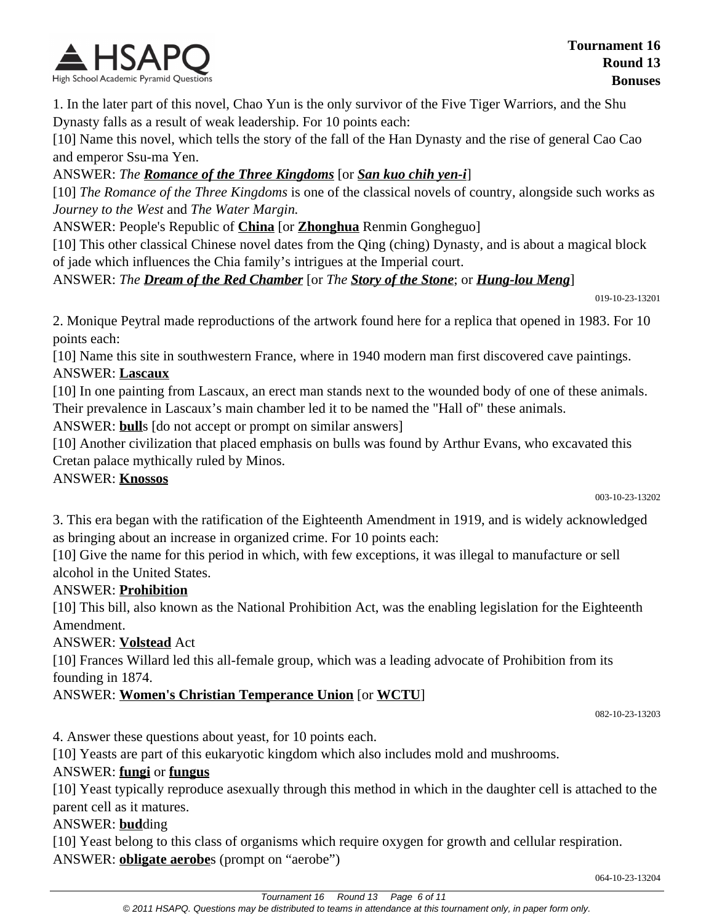

1. In the later part of this novel, Chao Yun is the only survivor of the Five Tiger Warriors, and the Shu Dynasty falls as a result of weak leadership. For 10 points each:

[10] Name this novel, which tells the story of the fall of the Han Dynasty and the rise of general Cao Cao and emperor Ssu-ma Yen.

#### ANSWER: *The Romance of the Three Kingdoms* [or *San kuo chih yen-i*]

[10] *The Romance of the Three Kingdoms* is one of the classical novels of country, alongside such works as *Journey to the West* and *The Water Margin.*

ANSWER: People's Republic of **China** [or **Zhonghua** Renmin Gongheguo]

[10] This other classical Chinese novel dates from the Qing (ching) Dynasty, and is about a magical block of jade which influences the Chia family's intrigues at the Imperial court.

ANSWER: *The Dream of the Red Chamber* [or *The Story of the Stone*; or *Hung-lou Meng*]

019-10-23-13201

2. Monique Peytral made reproductions of the artwork found here for a replica that opened in 1983. For 10 points each:

[10] Name this site in southwestern France, where in 1940 modern man first discovered cave paintings. ANSWER: **Lascaux**

[10] In one painting from Lascaux, an erect man stands next to the wounded body of one of these animals. Their prevalence in Lascaux's main chamber led it to be named the "Hall of" these animals.

ANSWER: **bull**s [do not accept or prompt on similar answers]

[10] Another civilization that placed emphasis on bulls was found by Arthur Evans, who excavated this Cretan palace mythically ruled by Minos.

ANSWER: **Knossos**

003-10-23-13202

3. This era began with the ratification of the Eighteenth Amendment in 1919, and is widely acknowledged as bringing about an increase in organized crime. For 10 points each:

[10] Give the name for this period in which, with few exceptions, it was illegal to manufacture or sell alcohol in the United States.

#### ANSWER: **Prohibition**

[10] This bill, also known as the National Prohibition Act, was the enabling legislation for the Eighteenth Amendment.

#### ANSWER: **Volstead** Act

[10] Frances Willard led this all-female group, which was a leading advocate of Prohibition from its founding in 1874.

#### ANSWER: **Women's Christian Temperance Union** [or **WCTU**]

082-10-23-13203

4. Answer these questions about yeast, for 10 points each.

[10] Yeasts are part of this eukaryotic kingdom which also includes mold and mushrooms.

#### ANSWER: **fungi** or **fungus**

[10] Yeast typically reproduce asexually through this method in which in the daughter cell is attached to the parent cell as it matures.

#### ANSWER: **bud**ding

[10] Yeast belong to this class of organisms which require oxygen for growth and cellular respiration. ANSWER: **obligate aerobe**s (prompt on "aerobe")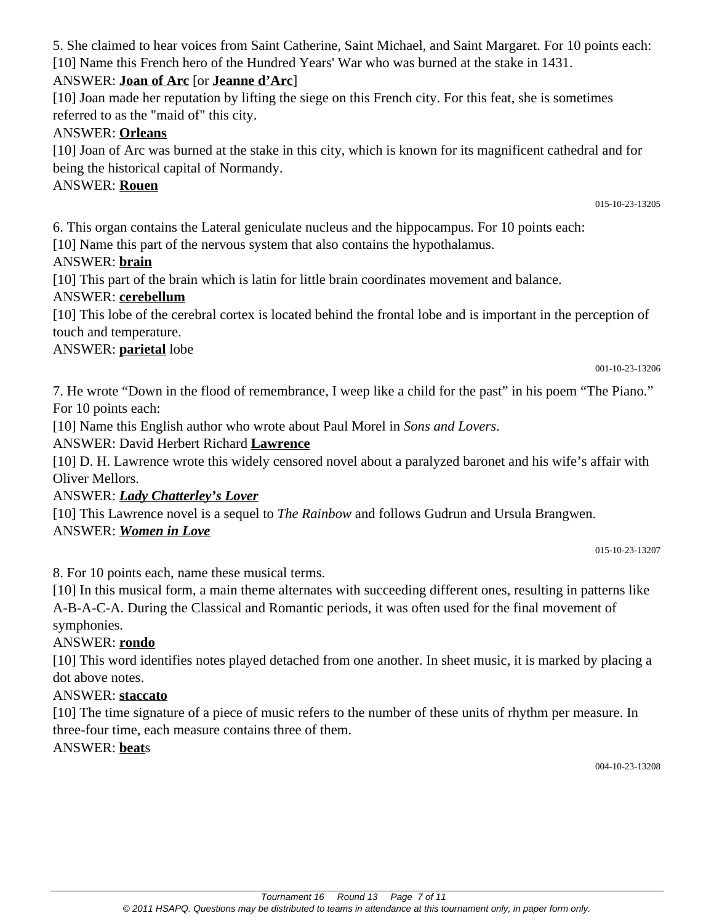5. She claimed to hear voices from Saint Catherine, Saint Michael, and Saint Margaret. For 10 points each: [10] Name this French hero of the Hundred Years' War who was burned at the stake in 1431.

### ANSWER: **Joan of Arc** [or **Jeanne d'Arc**]

[10] Joan made her reputation by lifting the siege on this French city. For this feat, she is sometimes referred to as the "maid of" this city.

### ANSWER: **Orleans**

[10] Joan of Arc was burned at the stake in this city, which is known for its magnificent cathedral and for being the historical capital of Normandy.

#### ANSWER: **Rouen**

6. This organ contains the Lateral geniculate nucleus and the hippocampus. For 10 points each:

[10] Name this part of the nervous system that also contains the hypothalamus.

# ANSWER: **brain**

[10] This part of the brain which is latin for little brain coordinates movement and balance.

# ANSWER: **cerebellum**

[10] This lobe of the cerebral cortex is located behind the frontal lobe and is important in the perception of touch and temperature.

## ANSWER: **parietal** lobe

001-10-23-13206

015-10-23-13205

7. He wrote "Down in the flood of remembrance, I weep like a child for the past" in his poem "The Piano." For 10 points each:

[10] Name this English author who wrote about Paul Morel in *Sons and Lovers*.

ANSWER: David Herbert Richard **Lawrence**

[10] D. H. Lawrence wrote this widely censored novel about a paralyzed baronet and his wife's affair with Oliver Mellors.

# ANSWER: *Lady Chatterley's Lover*

[10] This Lawrence novel is a sequel to *The Rainbow* and follows Gudrun and Ursula Brangwen. ANSWER: *Women in Love*

015-10-23-13207

8. For 10 points each, name these musical terms.

[10] In this musical form, a main theme alternates with succeeding different ones, resulting in patterns like A-B-A-C-A. During the Classical and Romantic periods, it was often used for the final movement of symphonies.

# ANSWER: **rondo**

[10] This word identifies notes played detached from one another. In sheet music, it is marked by placing a dot above notes.

# ANSWER: **staccato**

[10] The time signature of a piece of music refers to the number of these units of rhythm per measure. In three-four time, each measure contains three of them.

ANSWER: **beat**s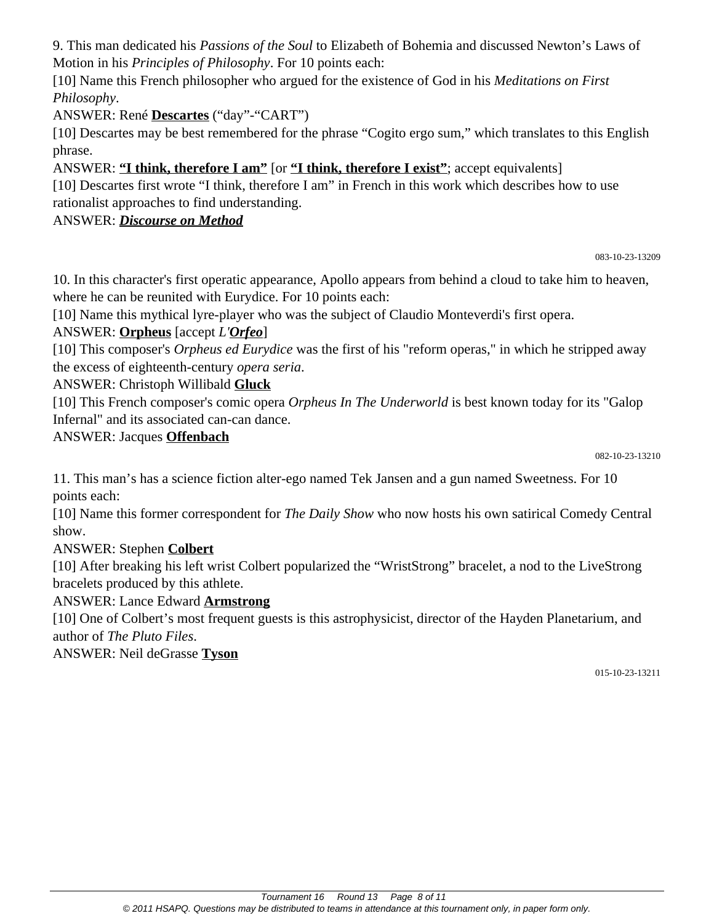9. This man dedicated his *Passions of the Soul* to Elizabeth of Bohemia and discussed Newton's Laws of Motion in his *Principles of Philosophy*. For 10 points each:

[10] Name this French philosopher who argued for the existence of God in his *Meditations on First Philosophy*.

ANSWER: René **Descartes** ("day"-"CART")

[10] Descartes may be best remembered for the phrase "Cogito ergo sum," which translates to this English phrase.

ANSWER: **"I think, therefore I am"** [or **"I think, therefore I exist"**; accept equivalents]

[10] Descartes first wrote "I think, therefore I am" in French in this work which describes how to use rationalist approaches to find understanding.

#### ANSWER: *Discourse on Method*

083-10-23-13209

10. In this character's first operatic appearance, Apollo appears from behind a cloud to take him to heaven, where he can be reunited with Eurydice. For 10 points each:

[10] Name this mythical lyre-player who was the subject of Claudio Monteverdi's first opera.

#### ANSWER: **Orpheus** [accept *L'Orfeo*]

[10] This composer's *Orpheus ed Eurydice* was the first of his "reform operas," in which he stripped away the excess of eighteenth-century *opera seria*.

ANSWER: Christoph Willibald **Gluck**

[10] This French composer's comic opera *Orpheus In The Underworld* is best known today for its "Galop Infernal" and its associated can-can dance.

### ANSWER: Jacques **Offenbach**

082-10-23-13210

11. This man's has a science fiction alter-ego named Tek Jansen and a gun named Sweetness. For 10 points each:

[10] Name this former correspondent for *The Daily Show* who now hosts his own satirical Comedy Central show.

ANSWER: Stephen **Colbert**

[10] After breaking his left wrist Colbert popularized the "WristStrong" bracelet, a nod to the LiveStrong bracelets produced by this athlete.

ANSWER: Lance Edward **Armstrong**

[10] One of Colbert's most frequent guests is this astrophysicist, director of the Hayden Planetarium, and author of *The Pluto Files*.

ANSWER: Neil deGrasse **Tyson**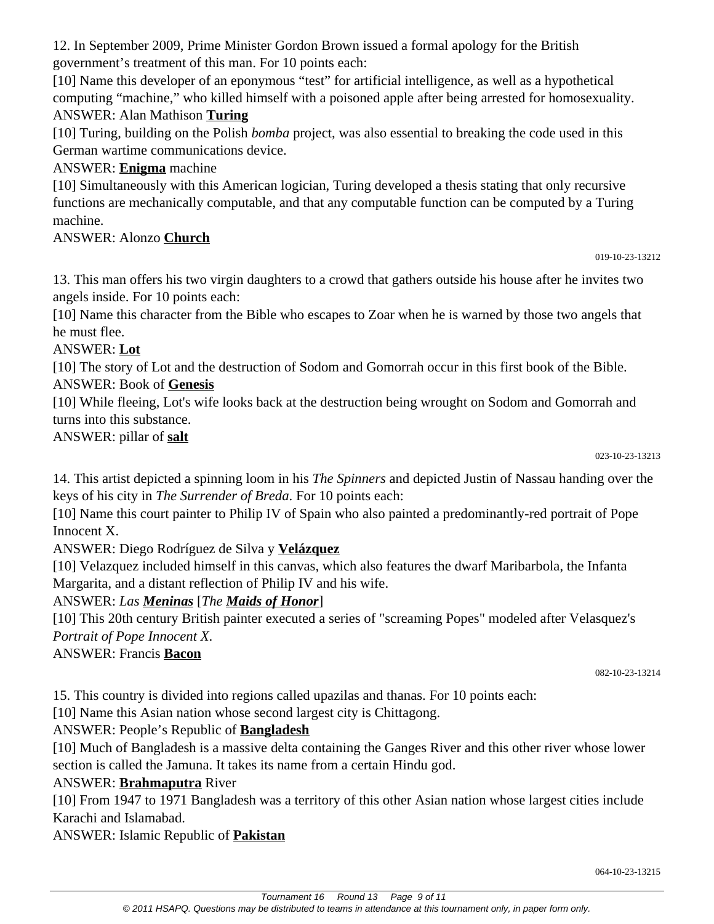12. In September 2009, Prime Minister Gordon Brown issued a formal apology for the British government's treatment of this man. For 10 points each:

[10] Name this developer of an eponymous "test" for artificial intelligence, as well as a hypothetical computing "machine," who killed himself with a poisoned apple after being arrested for homosexuality. ANSWER: Alan Mathison **Turing**

[10] Turing, building on the Polish *bomba* project, was also essential to breaking the code used in this German wartime communications device.

### ANSWER: **Enigma** machine

[10] Simultaneously with this American logician, Turing developed a thesis stating that only recursive functions are mechanically computable, and that any computable function can be computed by a Turing machine.

### ANSWER: Alonzo **Church**

019-10-23-13212

13. This man offers his two virgin daughters to a crowd that gathers outside his house after he invites two angels inside. For 10 points each:

[10] Name this character from the Bible who escapes to Zoar when he is warned by those two angels that he must flee.

### ANSWER: **Lot**

[10] The story of Lot and the destruction of Sodom and Gomorrah occur in this first book of the Bible.

### ANSWER: Book of **Genesis**

[10] While fleeing, Lot's wife looks back at the destruction being wrought on Sodom and Gomorrah and turns into this substance.

### ANSWER: pillar of **salt**

023-10-23-13213

14. This artist depicted a spinning loom in his *The Spinners* and depicted Justin of Nassau handing over the keys of his city in *The Surrender of Breda*. For 10 points each:

[10] Name this court painter to Philip IV of Spain who also painted a predominantly-red portrait of Pope Innocent X.

### ANSWER: Diego Rodríguez de Silva y **Velázquez**

[10] Velazquez included himself in this canvas, which also features the dwarf Maribarbola, the Infanta Margarita, and a distant reflection of Philip IV and his wife.

### ANSWER: *Las Meninas* [*The Maids of Honor*]

[10] This 20th century British painter executed a series of "screaming Popes" modeled after Velasquez's *Portrait of Pope Innocent X*.

### ANSWER: Francis **Bacon**

082-10-23-13214

15. This country is divided into regions called upazilas and thanas. For 10 points each:

[10] Name this Asian nation whose second largest city is Chittagong.

### ANSWER: People's Republic of **Bangladesh**

[10] Much of Bangladesh is a massive delta containing the Ganges River and this other river whose lower section is called the Jamuna. It takes its name from a certain Hindu god.

### ANSWER: **Brahmaputra** River

[10] From 1947 to 1971 Bangladesh was a territory of this other Asian nation whose largest cities include Karachi and Islamabad.

ANSWER: Islamic Republic of **Pakistan**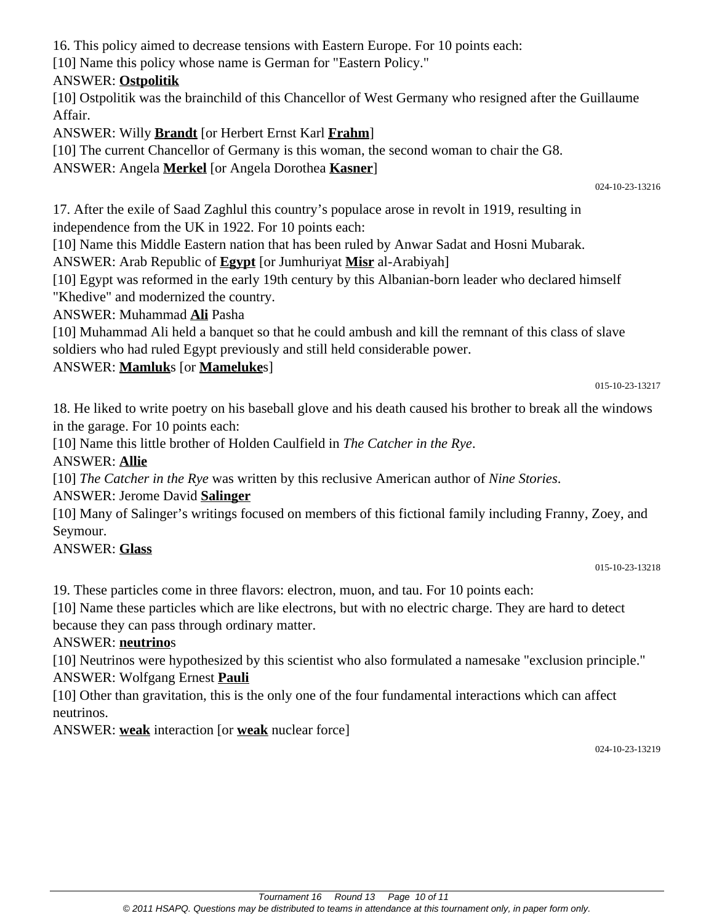16. This policy aimed to decrease tensions with Eastern Europe. For 10 points each:

[10] Name this policy whose name is German for "Eastern Policy."

### ANSWER: **Ostpolitik**

[10] Ostpolitik was the brainchild of this Chancellor of West Germany who resigned after the Guillaume Affair.

ANSWER: Willy **Brandt** [or Herbert Ernst Karl **Frahm**]

[10] The current Chancellor of Germany is this woman, the second woman to chair the G8.

ANSWER: Angela **Merkel** [or Angela Dorothea **Kasner**]

024-10-23-13216

17. After the exile of Saad Zaghlul this country's populace arose in revolt in 1919, resulting in independence from the UK in 1922. For 10 points each:

[10] Name this Middle Eastern nation that has been ruled by Anwar Sadat and Hosni Mubarak.

ANSWER: Arab Republic of **Egypt** [or Jumhuriyat **Misr** al-Arabiyah]

[10] Egypt was reformed in the early 19th century by this Albanian-born leader who declared himself "Khedive" and modernized the country.

ANSWER: Muhammad **Ali** Pasha

[10] Muhammad Ali held a banquet so that he could ambush and kill the remnant of this class of slave soldiers who had ruled Egypt previously and still held considerable power.

### ANSWER: **Mamluk**s [or **Mameluke**s]

015-10-23-13217

18. He liked to write poetry on his baseball glove and his death caused his brother to break all the windows in the garage. For 10 points each:

[10] Name this little brother of Holden Caulfield in *The Catcher in the Rye*.

ANSWER: **Allie**

[10] *The Catcher in the Rye* was written by this reclusive American author of *Nine Stories*.

### ANSWER: Jerome David **Salinger**

[10] Many of Salinger's writings focused on members of this fictional family including Franny, Zoey, and Seymour.

### ANSWER: **Glass**

015-10-23-13218

19. These particles come in three flavors: electron, muon, and tau. For 10 points each:

[10] Name these particles which are like electrons, but with no electric charge. They are hard to detect because they can pass through ordinary matter.

### ANSWER: **neutrino**s

[10] Neutrinos were hypothesized by this scientist who also formulated a namesake "exclusion principle." ANSWER: Wolfgang Ernest **Pauli**

[10] Other than gravitation, this is the only one of the four fundamental interactions which can affect neutrinos.

ANSWER: **weak** interaction [or **weak** nuclear force]